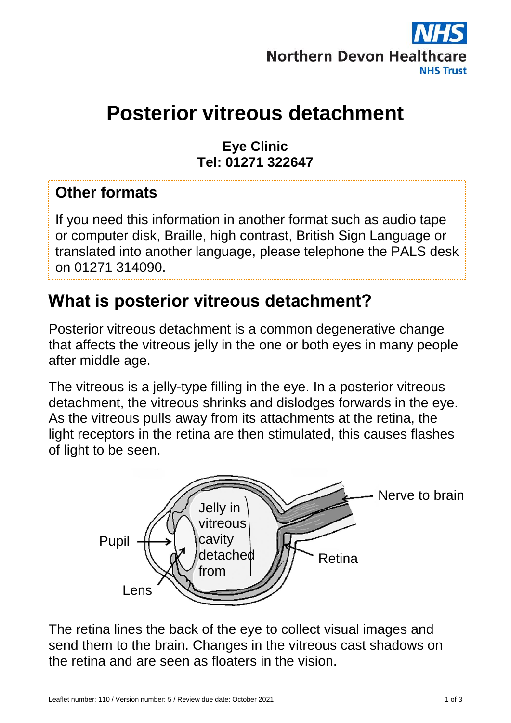

# **Posterior vitreous detachment**

#### **Eye Clinic Tel: 01271 322647**

#### **Other formats**

If you need this information in another format such as audio tape or computer disk, Braille, high contrast, British Sign Language or translated into another language, please telephone the PALS desk on 01271 314090.

### **What is posterior vitreous detachment?**

Posterior vitreous detachment is a common degenerative change that affects the vitreous jelly in the one or both eyes in many people after middle age.

The vitreous is a jelly-type filling in the eye. In a posterior vitreous detachment, the vitreous shrinks and dislodges forwards in the eye. As the vitreous pulls away from its attachments at the retina, the light receptors in the retina are then stimulated, this causes flashes of light to be seen.



The retina lines the back of the eye to collect visual images and send them to the brain. Changes in the vitreous cast shadows on the retina and are seen as floaters in the vision.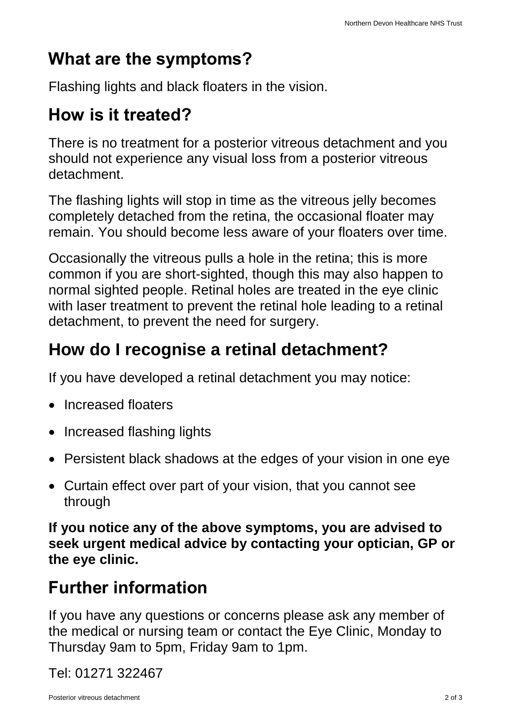## **What are the symptoms?**

Flashing lights and black floaters in the vision.

### **How is it treated?**

There is no treatment for a posterior vitreous detachment and you should not experience any visual loss from a posterior vitreous detachment.

The flashing lights will stop in time as the vitreous jelly becomes completely detached from the retina, the occasional floater may remain. You should become less aware of your floaters over time.

Occasionally the vitreous pulls a hole in the retina; this is more common if you are short-sighted, though this may also happen to normal sighted people. Retinal holes are treated in the eye clinic with laser treatment to prevent the retinal hole leading to a retinal detachment, to prevent the need for surgery.

## **How do I recognise a retinal detachment?**

If you have developed a retinal detachment you may notice:

- Increased floaters
- Increased flashing lights
- Persistent black shadows at the edges of your vision in one eye
- Curtain effect over part of your vision, that you cannot see through

**If you notice any of the above symptoms, you are advised to seek urgent medical advice by contacting your optician, GP or the eye clinic.**

# **Further information**

If you have any questions or concerns please ask any member of the medical or nursing team or contact the Eye Clinic, Monday to Thursday 9am to 5pm, Friday 9am to 1pm.

Tel: 01271 322467